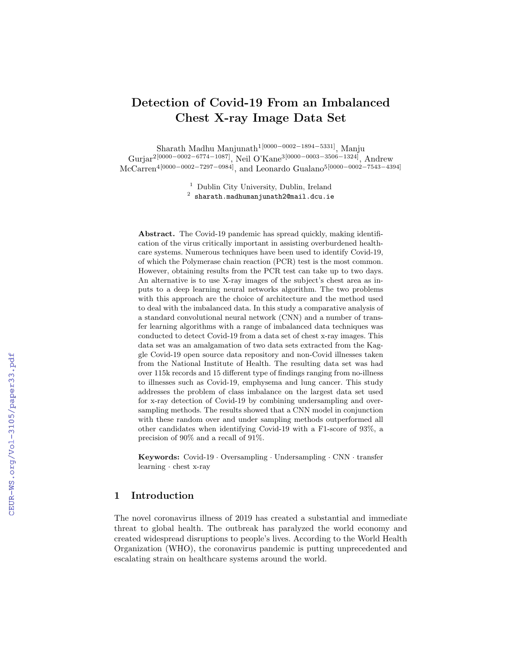# Detection of Covid-19 From an Imbalanced Chest X-ray Image Data Set

Sharath Madhu Manjunath1[0000−0002−1894−5331], Manju Gurjar<sup>2[0000–0002–6774–1087]</sup>, Neil O'Kane<sup>3[0000–0003–3506–1324]</sup>, Andrew McCarren4[0000−0002−7297−0984], and Leonardo Gualano5[0000−0002−7543−4394]

<sup>1</sup> Dublin City University, Dublin, Ireland

 $^{\rm 2}$  sharath.madhumanjunath2@mail.dcu.ie

Abstract. The Covid-19 pandemic has spread quickly, making identification of the virus critically important in assisting overburdened healthcare systems. Numerous techniques have been used to identify Covid-19, of which the Polymerase chain reaction (PCR) test is the most common. However, obtaining results from the PCR test can take up to two days. An alternative is to use X-ray images of the subject's chest area as inputs to a deep learning neural networks algorithm. The two problems with this approach are the choice of architecture and the method used to deal with the imbalanced data. In this study a comparative analysis of a standard convolutional neural network (CNN) and a number of transfer learning algorithms with a range of imbalanced data techniques was conducted to detect Covid-19 from a data set of chest x-ray images. This data set was an amalgamation of two data sets extracted from the Kaggle Covid-19 open source data repository and non-Covid illnesses taken from the National Institute of Health. The resulting data set was had over 115k records and 15 different type of findings ranging from no-illness to illnesses such as Covid-19, emphysema and lung cancer. This study addresses the problem of class imbalance on the largest data set used for x-ray detection of Covid-19 by combining undersampling and oversampling methods. The results showed that a CNN model in conjunction with these random over and under sampling methods outperformed all other candidates when identifying Covid-19 with a F1-score of 93%, a precision of 90% and a recall of 91%.

Keywords: Covid-19 · Oversampling · Undersampling · CNN · transfer learning · chest x-ray

# 1 Introduction

The novel coronavirus illness of 2019 has created a substantial and immediate threat to global health. The outbreak has paralyzed the world economy and created widespread disruptions to people's lives. According to the World Health Organization (WHO), the coronavirus pandemic is putting unprecedented and escalating strain on healthcare systems around the world.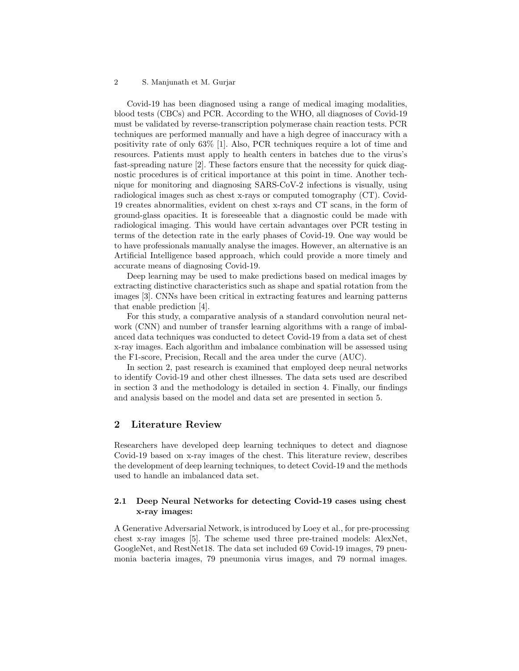### 2 S. Manjunath et M. Gurjar

Covid-19 has been diagnosed using a range of medical imaging modalities, blood tests (CBCs) and PCR. According to the WHO, all diagnoses of Covid-19 must be validated by reverse-transcription polymerase chain reaction tests. PCR techniques are performed manually and have a high degree of inaccuracy with a positivity rate of only 63% [1]. Also, PCR techniques require a lot of time and resources. Patients must apply to health centers in batches due to the virus's fast-spreading nature [2]. These factors ensure that the necessity for quick diagnostic procedures is of critical importance at this point in time. Another technique for monitoring and diagnosing SARS-CoV-2 infections is visually, using radiological images such as chest x-rays or computed tomography (CT). Covid-19 creates abnormalities, evident on chest x-rays and CT scans, in the form of ground-glass opacities. It is foreseeable that a diagnostic could be made with radiological imaging. This would have certain advantages over PCR testing in terms of the detection rate in the early phases of Covid-19. One way would be to have professionals manually analyse the images. However, an alternative is an Artificial Intelligence based approach, which could provide a more timely and accurate means of diagnosing Covid-19.

Deep learning may be used to make predictions based on medical images by extracting distinctive characteristics such as shape and spatial rotation from the images [3]. CNNs have been critical in extracting features and learning patterns that enable prediction [4].

For this study, a comparative analysis of a standard convolution neural network (CNN) and number of transfer learning algorithms with a range of imbalanced data techniques was conducted to detect Covid-19 from a data set of chest x-ray images. Each algorithm and imbalance combination will be assessed using the F1-score, Precision, Recall and the area under the curve (AUC).

In section 2, past research is examined that employed deep neural networks to identify Covid-19 and other chest illnesses. The data sets used are described in section 3 and the methodology is detailed in section 4. Finally, our findings and analysis based on the model and data set are presented in section 5.

# 2 Literature Review

Researchers have developed deep learning techniques to detect and diagnose Covid-19 based on x-ray images of the chest. This literature review, describes the development of deep learning techniques, to detect Covid-19 and the methods used to handle an imbalanced data set.

# 2.1 Deep Neural Networks for detecting Covid-19 cases using chest x-ray images:

A Generative Adversarial Network, is introduced by Loey et al., for pre-processing chest x-ray images [5]. The scheme used three pre-trained models: AlexNet, GoogleNet, and RestNet18. The data set included 69 Covid-19 images, 79 pneumonia bacteria images, 79 pneumonia virus images, and 79 normal images.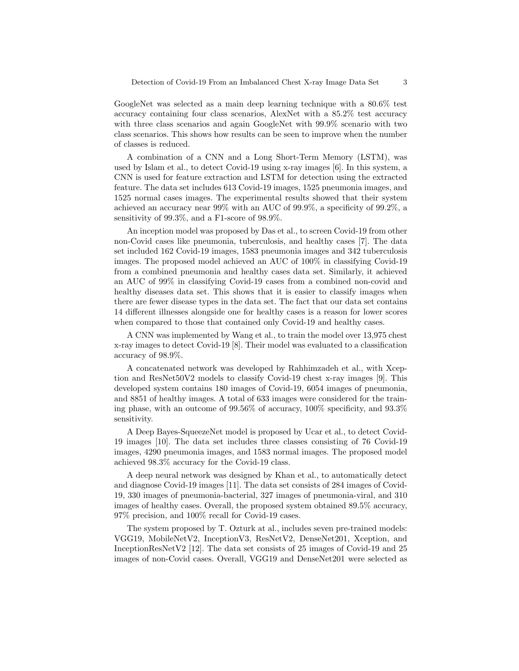GoogleNet was selected as a main deep learning technique with a 80.6% test accuracy containing four class scenarios, AlexNet with a 85.2% test accuracy with three class scenarios and again GoogleNet with 99.9% scenario with two class scenarios. This shows how results can be seen to improve when the number of classes is reduced.

A combination of a CNN and a Long Short-Term Memory (LSTM), was used by Islam et al., to detect Covid-19 using x-ray images [6]. In this system, a CNN is used for feature extraction and LSTM for detection using the extracted feature. The data set includes 613 Covid-19 images, 1525 pneumonia images, and 1525 normal cases images. The experimental results showed that their system achieved an accuracy near 99% with an AUC of 99.9%, a specificity of 99.2%, a sensitivity of 99.3%, and a F1-score of 98.9%.

An inception model was proposed by Das et al., to screen Covid-19 from other non-Covid cases like pneumonia, tuberculosis, and healthy cases [7]. The data set included 162 Covid-19 images, 1583 pneumonia images and 342 tuberculosis images. The proposed model achieved an AUC of 100% in classifying Covid-19 from a combined pneumonia and healthy cases data set. Similarly, it achieved an AUC of 99% in classifying Covid-19 cases from a combined non-covid and healthy diseases data set. This shows that it is easier to classify images when there are fewer disease types in the data set. The fact that our data set contains 14 different illnesses alongside one for healthy cases is a reason for lower scores when compared to those that contained only Covid-19 and healthy cases.

A CNN was implemented by Wang et al., to train the model over 13,975 chest x-ray images to detect Covid-19 [8]. Their model was evaluated to a classification accuracy of 98.9%.

A concatenated network was developed by Rahhimzadeh et al., with Xception and ResNet50V2 models to classify Covid-19 chest x-ray images [9]. This developed system contains 180 images of Covid-19, 6054 images of pneumonia, and 8851 of healthy images. A total of 633 images were considered for the training phase, with an outcome of 99.56% of accuracy, 100% specificity, and 93.3% sensitivity.

A Deep Bayes-SqueezeNet model is proposed by Ucar et al., to detect Covid-19 images [10]. The data set includes three classes consisting of 76 Covid-19 images, 4290 pneumonia images, and 1583 normal images. The proposed model achieved 98.3% accuracy for the Covid-19 class.

A deep neural network was designed by Khan et al., to automatically detect and diagnose Covid-19 images [11]. The data set consists of 284 images of Covid-19, 330 images of pneumonia-bacterial, 327 images of pneumonia-viral, and 310 images of healthy cases. Overall, the proposed system obtained 89.5% accuracy, 97% precision, and 100% recall for Covid-19 cases.

The system proposed by T. Ozturk at al., includes seven pre-trained models: VGG19, MobileNetV2, InceptionV3, ResNetV2, DenseNet201, Xception, and InceptionResNetV2 [12]. The data set consists of 25 images of Covid-19 and 25 images of non-Covid cases. Overall, VGG19 and DenseNet201 were selected as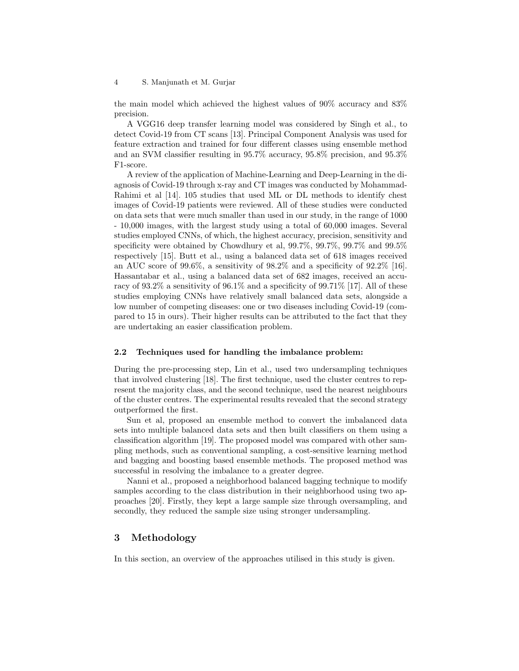the main model which achieved the highest values of 90% accuracy and 83% precision.

A VGG16 deep transfer learning model was considered by Singh et al., to detect Covid-19 from CT scans [13]. Principal Component Analysis was used for feature extraction and trained for four different classes using ensemble method and an SVM classifier resulting in 95.7% accuracy, 95.8% precision, and 95.3% F1-score.

A review of the application of Machine-Learning and Deep-Learning in the diagnosis of Covid-19 through x-ray and CT images was conducted by Mohammad-Rahimi et al [14]. 105 studies that used ML or DL methods to identify chest images of Covid-19 patients were reviewed. All of these studies were conducted on data sets that were much smaller than used in our study, in the range of 1000 - 10,000 images, with the largest study using a total of 60,000 images. Several studies employed CNNs, of which, the highest accuracy, precision, sensitivity and specificity were obtained by Chowdhury et al, 99.7%, 99.7%, 99.7% and 99.5% respectively [15]. Butt et al., using a balanced data set of 618 images received an AUC score of 99.6%, a sensitivity of 98.2% and a specificity of 92.2% [16]. Hassantabar et al., using a balanced data set of 682 images, received an accuracy of 93.2% a sensitivity of 96.1% and a specificity of 99.71% [17]. All of these studies employing CNNs have relatively small balanced data sets, alongside a low number of competing diseases: one or two diseases including Covid-19 (compared to 15 in ours). Their higher results can be attributed to the fact that they are undertaking an easier classification problem.

### 2.2 Techniques used for handling the imbalance problem:

During the pre-processing step, Lin et al., used two undersampling techniques that involved clustering [18]. The first technique, used the cluster centres to represent the majority class, and the second technique, used the nearest neighbours of the cluster centres. The experimental results revealed that the second strategy outperformed the first.

Sun et al, proposed an ensemble method to convert the imbalanced data sets into multiple balanced data sets and then built classifiers on them using a classification algorithm [19]. The proposed model was compared with other sampling methods, such as conventional sampling, a cost-sensitive learning method and bagging and boosting based ensemble methods. The proposed method was successful in resolving the imbalance to a greater degree.

Nanni et al., proposed a neighborhood balanced bagging technique to modify samples according to the class distribution in their neighborhood using two approaches [20]. Firstly, they kept a large sample size through oversampling, and secondly, they reduced the sample size using stronger undersampling.

# 3 Methodology

In this section, an overview of the approaches utilised in this study is given.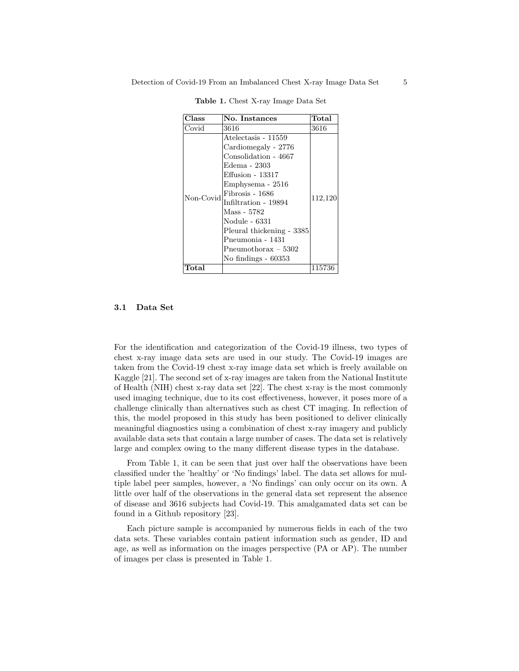| Class     | No. Instances                                                                                                                                                                                                                                                                                         | Total   |
|-----------|-------------------------------------------------------------------------------------------------------------------------------------------------------------------------------------------------------------------------------------------------------------------------------------------------------|---------|
| Covid     | 3616                                                                                                                                                                                                                                                                                                  | 3616    |
| Non-Covid | Atelectasis - 11559<br>Cardiomegaly - 2776<br>Consolidation - 4667<br>Edema - 2303<br>Effusion - 13317<br>Emphysema - 2516<br>Fibrosis - 1686<br>Infiltration - 19894<br>Mass - 5782<br>Nodule - 6331<br>Pleural thickening - 3385<br>Pneumonia - 1431<br>Pneumothorax – 5302<br>No findings $-60353$ | 112,120 |
| Total     |                                                                                                                                                                                                                                                                                                       | 115736  |

Table 1. Chest X-ray Image Data Set

## 3.1 Data Set

For the identification and categorization of the Covid-19 illness, two types of chest x-ray image data sets are used in our study. The Covid-19 images are taken from the Covid-19 chest x-ray image data set which is freely available on Kaggle [21]. The second set of x-ray images are taken from the National Institute of Health (NIH) chest x-ray data set [22]. The chest x-ray is the most commonly used imaging technique, due to its cost effectiveness, however, it poses more of a challenge clinically than alternatives such as chest CT imaging. In reflection of this, the model proposed in this study has been positioned to deliver clinically meaningful diagnostics using a combination of chest x-ray imagery and publicly available data sets that contain a large number of cases. The data set is relatively large and complex owing to the many different disease types in the database.

From Table 1, it can be seen that just over half the observations have been classified under the 'healthy' or 'No findings' label. The data set allows for multiple label peer samples, however, a 'No findings' can only occur on its own. A little over half of the observations in the general data set represent the absence of disease and 3616 subjects had Covid-19. This amalgamated data set can be found in a Github repository [23].

Each picture sample is accompanied by numerous fields in each of the two data sets. These variables contain patient information such as gender, ID and age, as well as information on the images perspective (PA or AP). The number of images per class is presented in Table 1.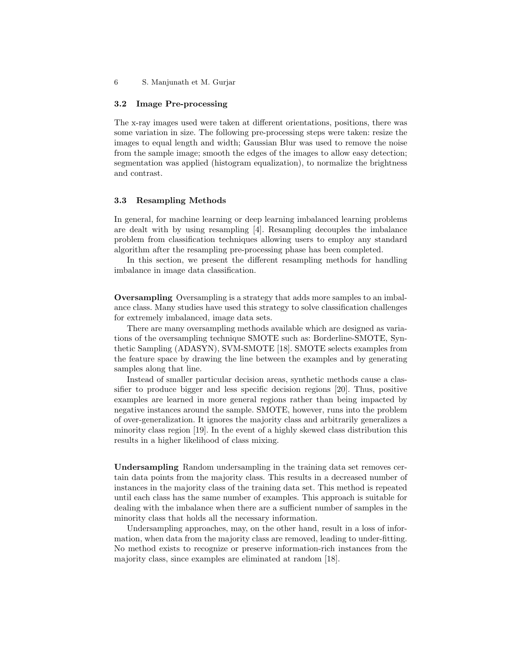6 S. Manjunath et M. Gurjar

#### 3.2 Image Pre-processing

The x-ray images used were taken at different orientations, positions, there was some variation in size. The following pre-processing steps were taken: resize the images to equal length and width; Gaussian Blur was used to remove the noise from the sample image; smooth the edges of the images to allow easy detection; segmentation was applied (histogram equalization), to normalize the brightness and contrast.

### 3.3 Resampling Methods

In general, for machine learning or deep learning imbalanced learning problems are dealt with by using resampling [4]. Resampling decouples the imbalance problem from classification techniques allowing users to employ any standard algorithm after the resampling pre-processing phase has been completed.

In this section, we present the different resampling methods for handling imbalance in image data classification.

Oversampling Oversampling is a strategy that adds more samples to an imbalance class. Many studies have used this strategy to solve classification challenges for extremely imbalanced, image data sets.

There are many oversampling methods available which are designed as variations of the oversampling technique SMOTE such as: Borderline-SMOTE, Synthetic Sampling (ADASYN), SVM-SMOTE [18]. SMOTE selects examples from the feature space by drawing the line between the examples and by generating samples along that line.

Instead of smaller particular decision areas, synthetic methods cause a classifier to produce bigger and less specific decision regions [20]. Thus, positive examples are learned in more general regions rather than being impacted by negative instances around the sample. SMOTE, however, runs into the problem of over-generalization. It ignores the majority class and arbitrarily generalizes a minority class region [19]. In the event of a highly skewed class distribution this results in a higher likelihood of class mixing.

Undersampling Random undersampling in the training data set removes certain data points from the majority class. This results in a decreased number of instances in the majority class of the training data set. This method is repeated until each class has the same number of examples. This approach is suitable for dealing with the imbalance when there are a sufficient number of samples in the minority class that holds all the necessary information.

Undersampling approaches, may, on the other hand, result in a loss of information, when data from the majority class are removed, leading to under-fitting. No method exists to recognize or preserve information-rich instances from the majority class, since examples are eliminated at random [18].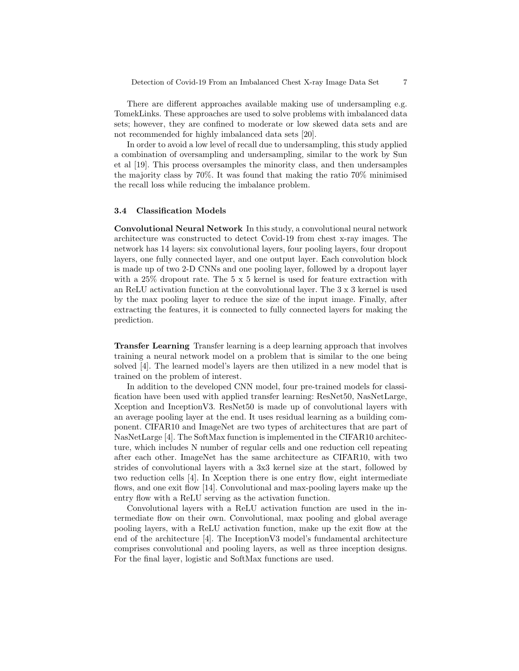There are different approaches available making use of undersampling e.g. TomekLinks. These approaches are used to solve problems with imbalanced data sets; however, they are confined to moderate or low skewed data sets and are not recommended for highly imbalanced data sets [20].

In order to avoid a low level of recall due to undersampling, this study applied a combination of oversampling and undersampling, similar to the work by Sun et al [19]. This process oversamples the minority class, and then undersamples the majority class by 70%. It was found that making the ratio 70% minimised the recall loss while reducing the imbalance problem.

### 3.4 Classification Models

Convolutional Neural Network In this study, a convolutional neural network architecture was constructed to detect Covid-19 from chest x-ray images. The network has 14 layers: six convolutional layers, four pooling layers, four dropout layers, one fully connected layer, and one output layer. Each convolution block is made up of two 2-D CNNs and one pooling layer, followed by a dropout layer with a 25% dropout rate. The 5 x 5 kernel is used for feature extraction with an ReLU activation function at the convolutional layer. The 3 x 3 kernel is used by the max pooling layer to reduce the size of the input image. Finally, after extracting the features, it is connected to fully connected layers for making the prediction.

Transfer Learning Transfer learning is a deep learning approach that involves training a neural network model on a problem that is similar to the one being solved [4]. The learned model's layers are then utilized in a new model that is trained on the problem of interest.

In addition to the developed CNN model, four pre-trained models for classification have been used with applied transfer learning: ResNet50, NasNetLarge, Xception and InceptionV3. ResNet50 is made up of convolutional layers with an average pooling layer at the end. It uses residual learning as a building component. CIFAR10 and ImageNet are two types of architectures that are part of NasNetLarge [4]. The SoftMax function is implemented in the CIFAR10 architecture, which includes N number of regular cells and one reduction cell repeating after each other. ImageNet has the same architecture as CIFAR10, with two strides of convolutional layers with a 3x3 kernel size at the start, followed by two reduction cells [4]. In Xception there is one entry flow, eight intermediate flows, and one exit flow [14]. Convolutional and max-pooling layers make up the entry flow with a ReLU serving as the activation function.

Convolutional layers with a ReLU activation function are used in the intermediate flow on their own. Convolutional, max pooling and global average pooling layers, with a ReLU activation function, make up the exit flow at the end of the architecture [4]. The InceptionV3 model's fundamental architecture comprises convolutional and pooling layers, as well as three inception designs. For the final layer, logistic and SoftMax functions are used.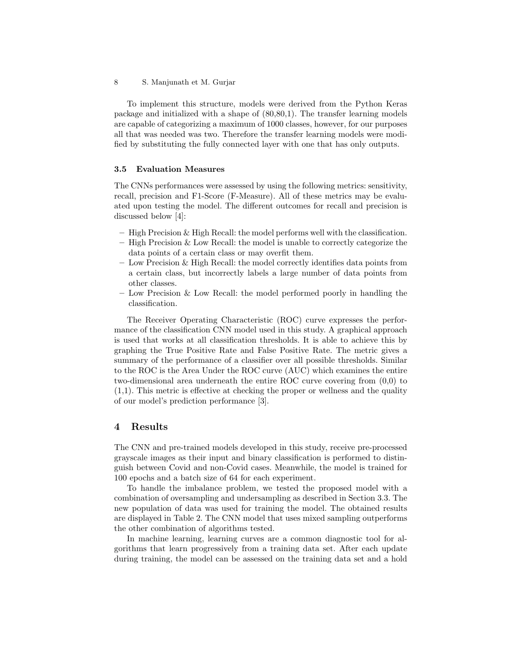8 S. Manjunath et M. Gurjar

To implement this structure, models were derived from the Python Keras package and initialized with a shape of (80,80,1). The transfer learning models are capable of categorizing a maximum of 1000 classes, however, for our purposes all that was needed was two. Therefore the transfer learning models were modified by substituting the fully connected layer with one that has only outputs.

### 3.5 Evaluation Measures

The CNNs performances were assessed by using the following metrics: sensitivity, recall, precision and F1-Score (F-Measure). All of these metrics may be evaluated upon testing the model. The different outcomes for recall and precision is discussed below [4]:

- High Precision & High Recall: the model performs well with the classification.
- High Precision & Low Recall: the model is unable to correctly categorize the data points of a certain class or may overfit them.
- Low Precision & High Recall: the model correctly identifies data points from a certain class, but incorrectly labels a large number of data points from other classes.
- Low Precision & Low Recall: the model performed poorly in handling the classification.

The Receiver Operating Characteristic (ROC) curve expresses the performance of the classification CNN model used in this study. A graphical approach is used that works at all classification thresholds. It is able to achieve this by graphing the True Positive Rate and False Positive Rate. The metric gives a summary of the performance of a classifier over all possible thresholds. Similar to the ROC is the Area Under the ROC curve (AUC) which examines the entire two-dimensional area underneath the entire ROC curve covering from (0,0) to (1,1). This metric is effective at checking the proper or wellness and the quality of our model's prediction performance [3].

## 4 Results

The CNN and pre-trained models developed in this study, receive pre-processed grayscale images as their input and binary classification is performed to distinguish between Covid and non-Covid cases. Meanwhile, the model is trained for 100 epochs and a batch size of 64 for each experiment.

To handle the imbalance problem, we tested the proposed model with a combination of oversampling and undersampling as described in Section 3.3. The new population of data was used for training the model. The obtained results are displayed in Table 2. The CNN model that uses mixed sampling outperforms the other combination of algorithms tested.

In machine learning, learning curves are a common diagnostic tool for algorithms that learn progressively from a training data set. After each update during training, the model can be assessed on the training data set and a hold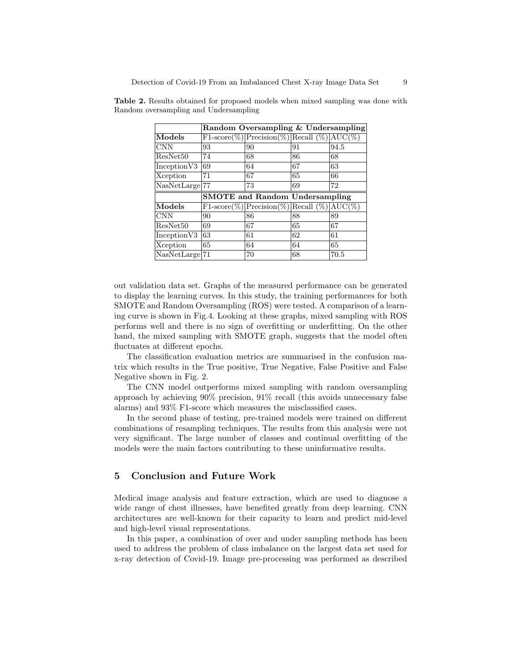|                             | Random Oversampling & Undersampling   |                                            |    |      |  |
|-----------------------------|---------------------------------------|--------------------------------------------|----|------|--|
| Models                      |                                       | F1-score(%) Precision(%) Recall (%) AUC(%) |    |      |  |
| <b>CNN</b>                  | 93                                    | 90                                         | 91 | 94.5 |  |
| ResNet50                    | 74                                    | 68                                         | 86 | 68   |  |
| Inception V3                | 69                                    | 64                                         | 67 | 63   |  |
| Xception                    | 71                                    | 67                                         | 65 | 66   |  |
| NasNetLarge <sup>[77]</sup> |                                       | 73                                         | 69 | 72   |  |
|                             | <b>SMOTE</b> and Random Undersampling |                                            |    |      |  |
|                             |                                       |                                            |    |      |  |
| Models                      |                                       | F1-score(%) Precision(%) Recall (%) AUC(%) |    |      |  |
| <b>CNN</b>                  | 90                                    | 86                                         | 88 | 89   |  |
| ResNet50                    | 69                                    | 67                                         | 65 | 67   |  |
| Inception V3                | 63                                    | 61                                         | 62 | 61   |  |
| Xception                    | 65                                    | 64                                         | 64 | 65   |  |

Table 2. Results obtained for proposed models when mixed sampling was done with Random oversampling and Undersampling

out validation data set. Graphs of the measured performance can be generated to display the learning curves. In this study, the training performances for both SMOTE and Random Oversampling (ROS) were tested. A comparison of a learning curve is shown in Fig.4. Looking at these graphs, mixed sampling with ROS performs well and there is no sign of overfitting or underfitting. On the other hand, the mixed sampling with SMOTE graph, suggests that the model often fluctuates at different epochs.

The classification evaluation metrics are summarised in the confusion matrix which results in the True positive, True Negative, False Positive and False Negative shown in Fig. 2.

The CNN model outperforms mixed sampling with random oversampling approach by achieving 90% precision, 91% recall (this avoids unnecessary false alarms) and 93% F1-score which measures the misclassified cases.

In the second phase of testing, pre-trained models were trained on different combinations of resampling techniques. The results from this analysis were not very significant. The large number of classes and continual overfitting of the models were the main factors contributing to these uninformative results.

# 5 Conclusion and Future Work

Medical image analysis and feature extraction, which are used to diagnose a wide range of chest illnesses, have benefited greatly from deep learning. CNN architectures are well-known for their capacity to learn and predict mid-level and high-level visual representations.

In this paper, a combination of over and under sampling methods has been used to address the problem of class imbalance on the largest data set used for x-ray detection of Covid-19. Image pre-processing was performed as described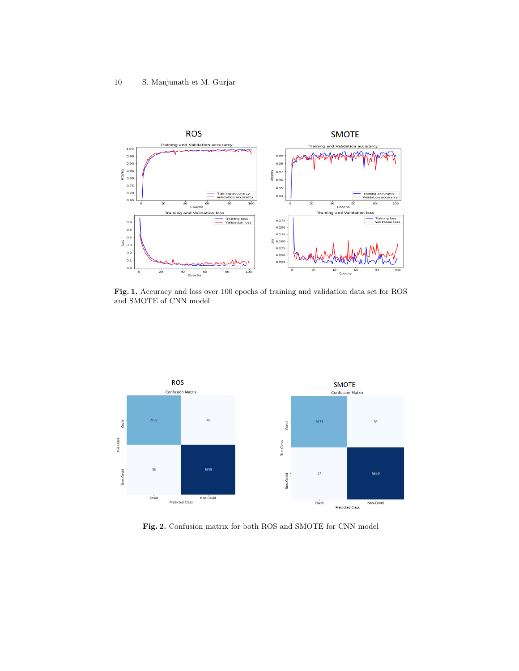

Fig. 1. Accuracy and loss over 100 epochs of training and validation data set for ROS and SMOTE of CNN model



Fig. 2. Confusion matrix for both ROS and SMOTE for CNN model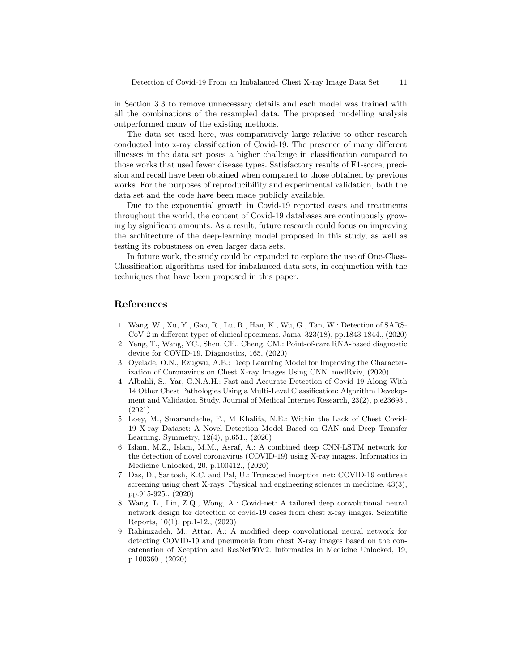in Section 3.3 to remove unnecessary details and each model was trained with all the combinations of the resampled data. The proposed modelling analysis outperformed many of the existing methods.

The data set used here, was comparatively large relative to other research conducted into x-ray classification of Covid-19. The presence of many different illnesses in the data set poses a higher challenge in classification compared to those works that used fewer disease types. Satisfactory results of F1-score, precision and recall have been obtained when compared to those obtained by previous works. For the purposes of reproducibility and experimental validation, both the data set and the code have been made publicly available.

Due to the exponential growth in Covid-19 reported cases and treatments throughout the world, the content of Covid-19 databases are continuously growing by significant amounts. As a result, future research could focus on improving the architecture of the deep-learning model proposed in this study, as well as testing its robustness on even larger data sets.

In future work, the study could be expanded to explore the use of One-Class-Classification algorithms used for imbalanced data sets, in conjunction with the techniques that have been proposed in this paper.

# References

- 1. Wang, W., Xu, Y., Gao, R., Lu, R., Han, K., Wu, G., Tan, W.: Detection of SARS-CoV-2 in different types of clinical specimens. Jama, 323(18), pp.1843-1844., (2020)
- 2. Yang, T., Wang, YC., Shen, CF., Cheng, CM.: Point-of-care RNA-based diagnostic device for COVID-19. Diagnostics, 165, (2020)
- 3. Oyelade, O.N., Ezugwu, A.E.: Deep Learning Model for Improving the Characterization of Coronavirus on Chest X-ray Images Using CNN. medRxiv, (2020)
- 4. Albahli, S., Yar, G.N.A.H.: Fast and Accurate Detection of Covid-19 Along With 14 Other Chest Pathologies Using a Multi-Level Classification: Algorithm Development and Validation Study. Journal of Medical Internet Research, 23(2), p.e23693., (2021)
- 5. Loey, M., Smarandache, F., M Khalifa, N.E.: Within the Lack of Chest Covid-19 X-ray Dataset: A Novel Detection Model Based on GAN and Deep Transfer Learning. Symmetry, 12(4), p.651., (2020)
- 6. Islam, M.Z., Islam, M.M., Asraf, A.: A combined deep CNN-LSTM network for the detection of novel coronavirus (COVID-19) using X-ray images. Informatics in Medicine Unlocked, 20, p.100412., (2020)
- 7. Das, D., Santosh, K.C. and Pal, U.: Truncated inception net: COVID-19 outbreak screening using chest X-rays. Physical and engineering sciences in medicine, 43(3), pp.915-925., (2020)
- 8. Wang, L., Lin, Z.Q., Wong, A.: Covid-net: A tailored deep convolutional neural network design for detection of covid-19 cases from chest x-ray images. Scientific Reports, 10(1), pp.1-12., (2020)
- 9. Rahimzadeh, M., Attar, A.: A modified deep convolutional neural network for detecting COVID-19 and pneumonia from chest X-ray images based on the concatenation of Xception and ResNet50V2. Informatics in Medicine Unlocked, 19, p.100360., (2020)